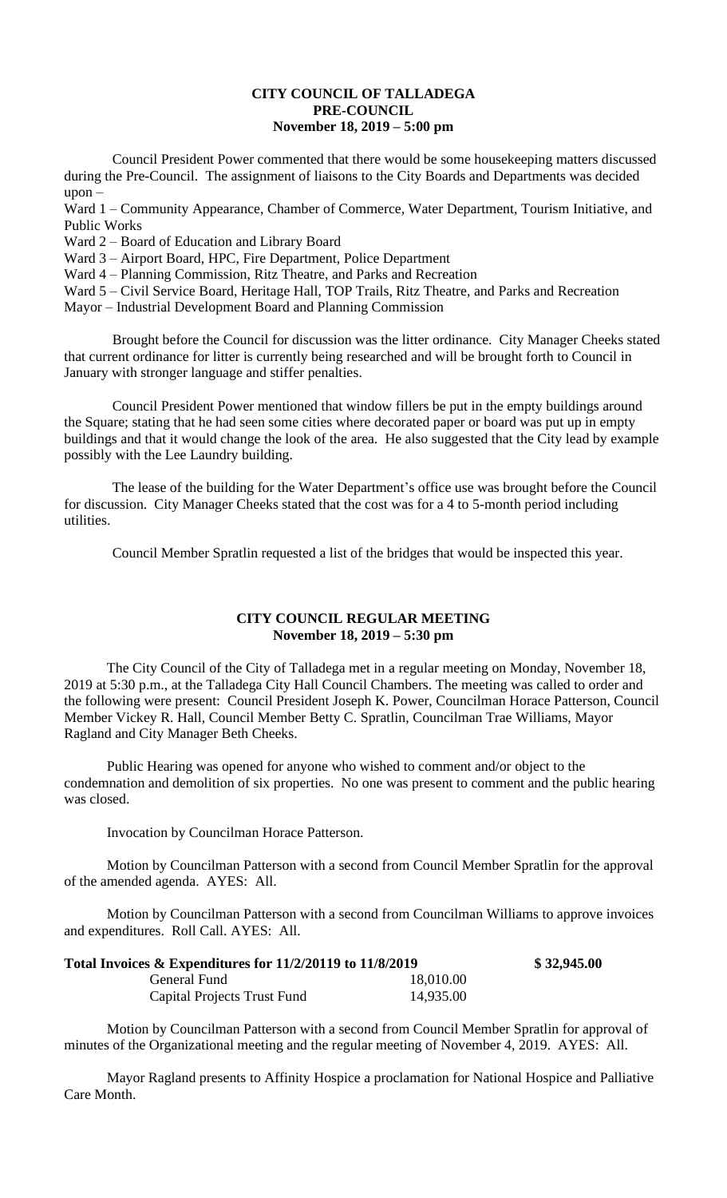## **CITY COUNCIL OF TALLADEGA PRE-COUNCIL November 18, 2019 – 5:00 pm**

Council President Power commented that there would be some housekeeping matters discussed during the Pre-Council. The assignment of liaisons to the City Boards and Departments was decided upon –

Ward 1 – Community Appearance, Chamber of Commerce, Water Department, Tourism Initiative, and Public Works

Ward 2 – Board of Education and Library Board

Ward 3 – Airport Board, HPC, Fire Department, Police Department

Ward 4 – Planning Commission, Ritz Theatre, and Parks and Recreation

Ward 5 – Civil Service Board, Heritage Hall, TOP Trails, Ritz Theatre, and Parks and Recreation

Mayor – Industrial Development Board and Planning Commission

Brought before the Council for discussion was the litter ordinance. City Manager Cheeks stated that current ordinance for litter is currently being researched and will be brought forth to Council in January with stronger language and stiffer penalties.

Council President Power mentioned that window fillers be put in the empty buildings around the Square; stating that he had seen some cities where decorated paper or board was put up in empty buildings and that it would change the look of the area. He also suggested that the City lead by example possibly with the Lee Laundry building.

The lease of the building for the Water Department's office use was brought before the Council for discussion. City Manager Cheeks stated that the cost was for a 4 to 5-month period including utilities.

Council Member Spratlin requested a list of the bridges that would be inspected this year.

## **CITY COUNCIL REGULAR MEETING November 18, 2019 – 5:30 pm**

The City Council of the City of Talladega met in a regular meeting on Monday, November 18, 2019 at 5:30 p.m., at the Talladega City Hall Council Chambers. The meeting was called to order and the following were present: Council President Joseph K. Power, Councilman Horace Patterson, Council Member Vickey R. Hall, Council Member Betty C. Spratlin, Councilman Trae Williams, Mayor Ragland and City Manager Beth Cheeks.

Public Hearing was opened for anyone who wished to comment and/or object to the condemnation and demolition of six properties. No one was present to comment and the public hearing was closed.

Invocation by Councilman Horace Patterson.

Motion by Councilman Patterson with a second from Council Member Spratlin for the approval of the amended agenda. AYES: All.

Motion by Councilman Patterson with a second from Councilman Williams to approve invoices and expenditures. Roll Call. AYES: All.

| Total Invoices $\&$ Expenditures for 11/2/20119 to 11/8/2019 |           | \$32,945.00 |
|--------------------------------------------------------------|-----------|-------------|
| General Fund                                                 | 18,010.00 |             |
| Capital Projects Trust Fund                                  | 14,935.00 |             |

Motion by Councilman Patterson with a second from Council Member Spratlin for approval of minutes of the Organizational meeting and the regular meeting of November 4, 2019. AYES: All.

Mayor Ragland presents to Affinity Hospice a proclamation for National Hospice and Palliative Care Month.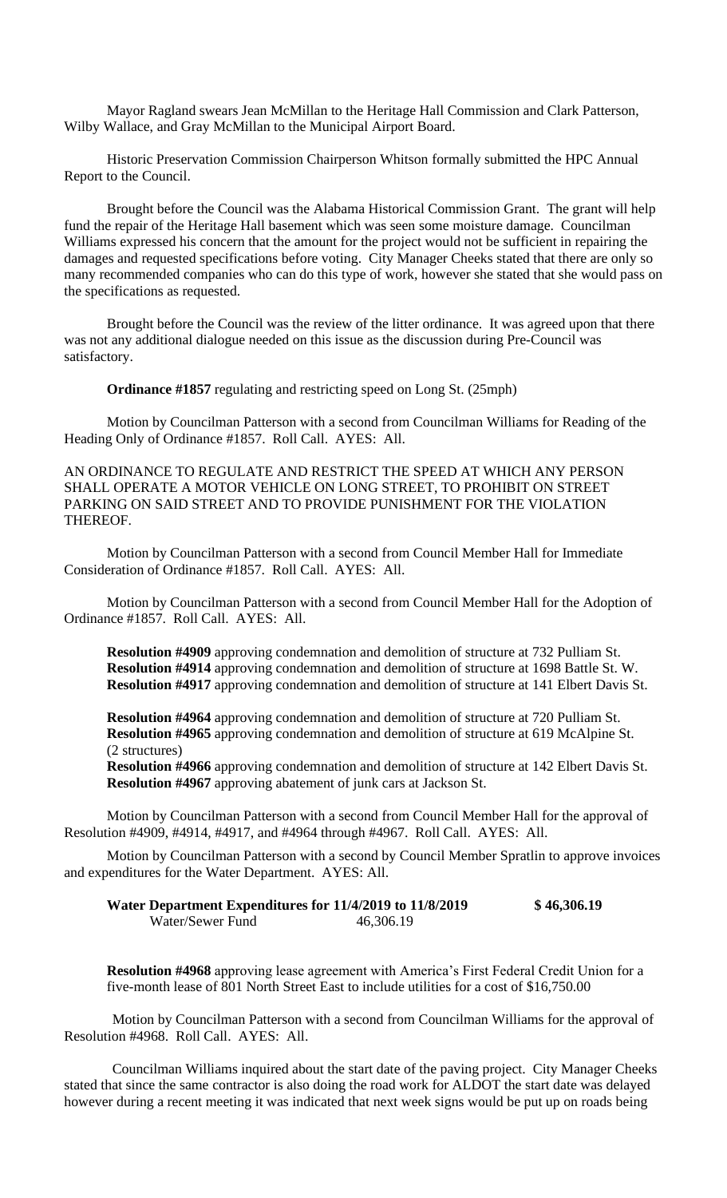Mayor Ragland swears Jean McMillan to the Heritage Hall Commission and Clark Patterson, Wilby Wallace, and Gray McMillan to the Municipal Airport Board.

Historic Preservation Commission Chairperson Whitson formally submitted the HPC Annual Report to the Council.

Brought before the Council was the Alabama Historical Commission Grant. The grant will help fund the repair of the Heritage Hall basement which was seen some moisture damage. Councilman Williams expressed his concern that the amount for the project would not be sufficient in repairing the damages and requested specifications before voting. City Manager Cheeks stated that there are only so many recommended companies who can do this type of work, however she stated that she would pass on the specifications as requested.

Brought before the Council was the review of the litter ordinance. It was agreed upon that there was not any additional dialogue needed on this issue as the discussion during Pre-Council was satisfactory.

**Ordinance #1857** regulating and restricting speed on Long St. (25mph)

Motion by Councilman Patterson with a second from Councilman Williams for Reading of the Heading Only of Ordinance #1857. Roll Call. AYES: All.

AN ORDINANCE TO REGULATE AND RESTRICT THE SPEED AT WHICH ANY PERSON SHALL OPERATE A MOTOR VEHICLE ON LONG STREET, TO PROHIBIT ON STREET PARKING ON SAID STREET AND TO PROVIDE PUNISHMENT FOR THE VIOLATION THEREOF.

Motion by Councilman Patterson with a second from Council Member Hall for Immediate Consideration of Ordinance #1857. Roll Call. AYES: All.

Motion by Councilman Patterson with a second from Council Member Hall for the Adoption of Ordinance #1857. Roll Call. AYES: All.

**Resolution #4909** approving condemnation and demolition of structure at 732 Pulliam St. **Resolution #4914** approving condemnation and demolition of structure at 1698 Battle St. W. **Resolution #4917** approving condemnation and demolition of structure at 141 Elbert Davis St.

**Resolution #4964** approving condemnation and demolition of structure at 720 Pulliam St. **Resolution #4965** approving condemnation and demolition of structure at 619 McAlpine St. (2 structures)

**Resolution #4966** approving condemnation and demolition of structure at 142 Elbert Davis St. **Resolution #4967** approving abatement of junk cars at Jackson St.

Motion by Councilman Patterson with a second from Council Member Hall for the approval of Resolution #4909, #4914, #4917, and #4964 through #4967. Roll Call. AYES: All.

Motion by Councilman Patterson with a second by Council Member Spratlin to approve invoices and expenditures for the Water Department. AYES: All.

**Water Department Expenditures for 11/4/2019 to 11/8/2019 \$ 46,306.19** Water/Sewer Fund 46,306.19

**Resolution #4968** approving lease agreement with America's First Federal Credit Union for a five-month lease of 801 North Street East to include utilities for a cost of \$16,750.00

Motion by Councilman Patterson with a second from Councilman Williams for the approval of Resolution #4968. Roll Call. AYES: All.

Councilman Williams inquired about the start date of the paving project. City Manager Cheeks stated that since the same contractor is also doing the road work for ALDOT the start date was delayed however during a recent meeting it was indicated that next week signs would be put up on roads being